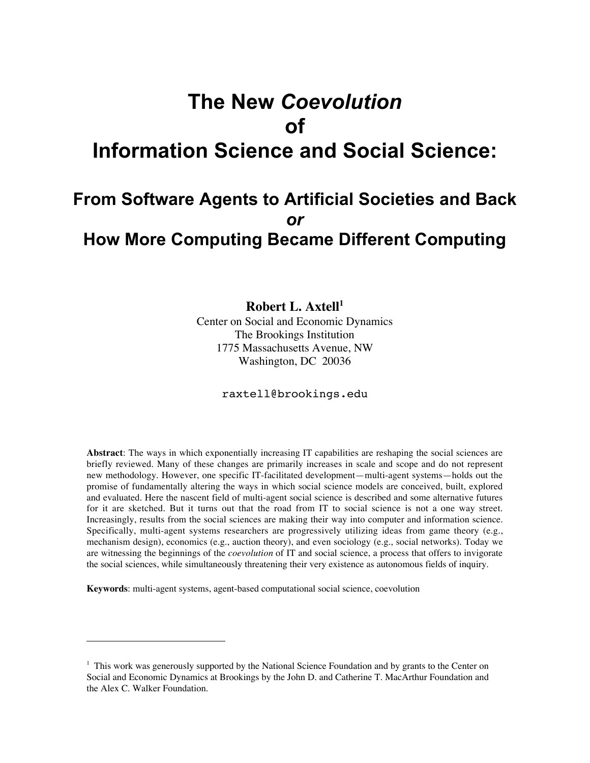# **The New** *Coevolution* **of Information Science and Social Science:**

# **From Software Agents to Artificial Societies and Back** *or* **How More Computing Became Different Computing**

Robert L. Axtell<sup>1</sup> Center on Social and Economic Dynamics The Brookings Institution 1775 Massachusetts Avenue, NW Washington, DC 20036

raxtell@brookings.edu

**Abstract**: The ways in which exponentially increasing IT capabilities are reshaping the social sciences are briefly reviewed. Many of these changes are primarily increases in scale and scope and do not represent new methodology. However, one specific IT-facilitated development—multi-agent systems—holds out the promise of fundamentally altering the ways in which social science models are conceived, built, explored and evaluated. Here the nascent field of multi-agent social science is described and some alternative futures for it are sketched. But it turns out that the road from IT to social science is not a one way street. Increasingly, results from the social sciences are making their way into computer and information science. Specifically, multi-agent systems researchers are progressively utilizing ideas from game theory (e.g., mechanism design), economics (e.g., auction theory), and even sociology (e.g., social networks). Today we are witnessing the beginnings of the *coevolution* of IT and social science, a process that offers to invigorate the social sciences, while simultaneously threatening their very existence as autonomous fields of inquiry.

**Keywords**: multi-agent systems, agent-based computational social science, coevolution

 $\overline{a}$ 

<sup>&</sup>lt;sup>1</sup> This work was generously supported by the National Science Foundation and by grants to the Center on Social and Economic Dynamics at Brookings by the John D. and Catherine T. MacArthur Foundation and the Alex C. Walker Foundation.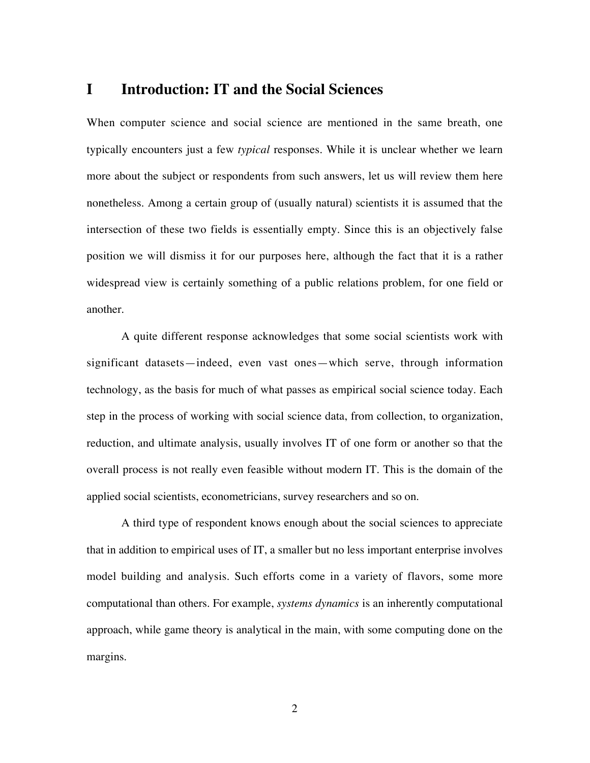### **I Introduction: IT and the Social Sciences**

When computer science and social science are mentioned in the same breath, one typically encounters just a few *typical* responses. While it is unclear whether we learn more about the subject or respondents from such answers, let us will review them here nonetheless. Among a certain group of (usually natural) scientists it is assumed that the intersection of these two fields is essentially empty. Since this is an objectively false position we will dismiss it for our purposes here, although the fact that it is a rather widespread view is certainly something of a public relations problem, for one field or another.

A quite different response acknowledges that some social scientists work with significant datasets—indeed, even vast ones—which serve, through information technology, as the basis for much of what passes as empirical social science today. Each step in the process of working with social science data, from collection, to organization, reduction, and ultimate analysis, usually involves IT of one form or another so that the overall process is not really even feasible without modern IT. This is the domain of the applied social scientists, econometricians, survey researchers and so on.

A third type of respondent knows enough about the social sciences to appreciate that in addition to empirical uses of IT, a smaller but no less important enterprise involves model building and analysis. Such efforts come in a variety of flavors, some more computational than others. For example, *systems dynamics* is an inherently computational approach, while game theory is analytical in the main, with some computing done on the margins.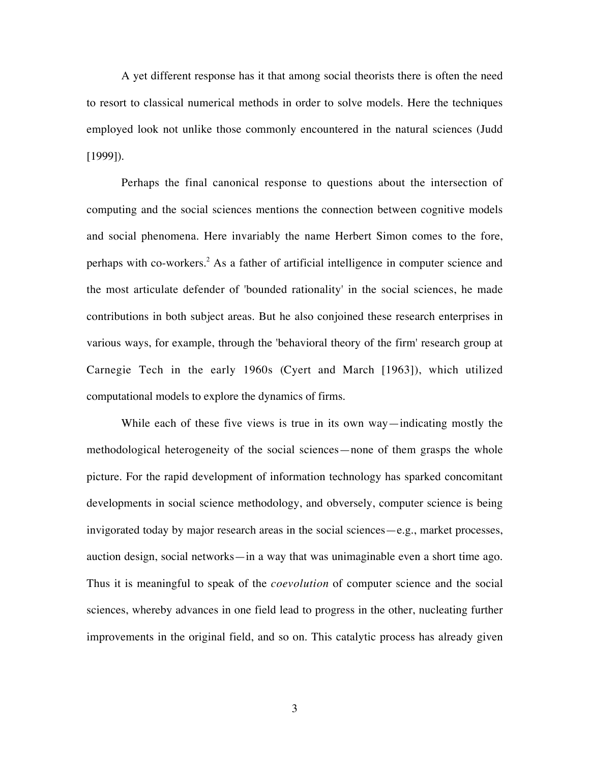A yet different response has it that among social theorists there is often the need to resort to classical numerical methods in order to solve models. Here the techniques employed look not unlike those commonly encountered in the natural sciences (Judd [1999]).

Perhaps the final canonical response to questions about the intersection of computing and the social sciences mentions the connection between cognitive models and social phenomena. Here invariably the name Herbert Simon comes to the fore, perhaps with co-workers.<sup>2</sup> As a father of artificial intelligence in computer science and the most articulate defender of 'bounded rationality' in the social sciences, he made contributions in both subject areas. But he also conjoined these research enterprises in various ways, for example, through the 'behavioral theory of the firm' research group at Carnegie Tech in the early 1960s (Cyert and March [1963]), which utilized computational models to explore the dynamics of firms.

While each of these five views is true in its own way—indicating mostly the methodological heterogeneity of the social sciences—none of them grasps the whole picture. For the rapid development of information technology has sparked concomitant developments in social science methodology, and obversely, computer science is being invigorated today by major research areas in the social sciences—e.g., market processes, auction design, social networks—in a way that was unimaginable even a short time ago. Thus it is meaningful to speak of the *coevolution* of computer science and the social sciences, whereby advances in one field lead to progress in the other, nucleating further improvements in the original field, and so on. This catalytic process has already given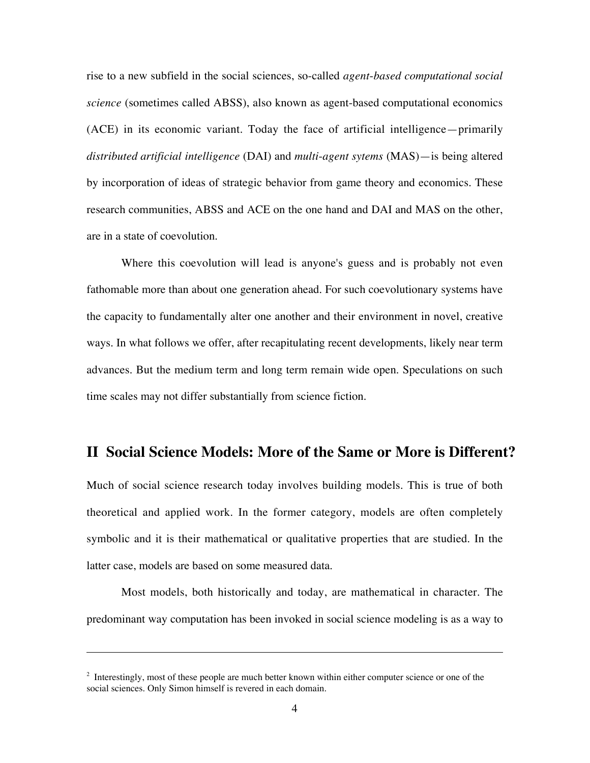rise to a new subfield in the social sciences, so-called *agent*-*based computational social science* (sometimes called ABSS), also known as agent-based computational economics (ACE) in its economic variant. Today the face of artificial intelligence—primarily *distributed artificial intelligence* (DAI) and *multi*-*agent sytems* (MAS)—is being altered by incorporation of ideas of strategic behavior from game theory and economics. These research communities, ABSS and ACE on the one hand and DAI and MAS on the other, are in a state of coevolution.

Where this coevolution will lead is anyone's guess and is probably not even fathomable more than about one generation ahead. For such coevolutionary systems have the capacity to fundamentally alter one another and their environment in novel, creative ways. In what follows we offer, after recapitulating recent developments, likely near term advances. But the medium term and long term remain wide open. Speculations on such time scales may not differ substantially from science fiction.

## **II Social Science Models: More of the Same or More is Different?**

Much of social science research today involves building models. This is true of both theoretical and applied work. In the former category, models are often completely symbolic and it is their mathematical or qualitative properties that are studied. In the latter case, models are based on some measured data.

Most models, both historically and today, are mathematical in character. The predominant way computation has been invoked in social science modeling is as a way to

 $\overline{a}$ 

 $2$  Interestingly, most of these people are much better known within either computer science or one of the social sciences. Only Simon himself is revered in each domain.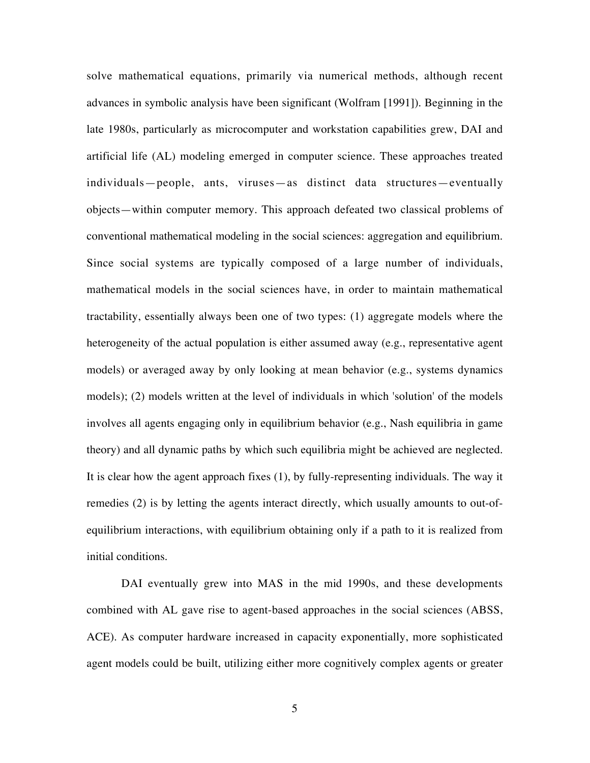solve mathematical equations, primarily via numerical methods, although recent advances in symbolic analysis have been significant (Wolfram [1991]). Beginning in the late 1980s, particularly as microcomputer and workstation capabilities grew, DAI and artificial life (AL) modeling emerged in computer science. These approaches treated individuals—people, ants, viruses—as distinct data structures—eventually objects—within computer memory. This approach defeated two classical problems of conventional mathematical modeling in the social sciences: aggregation and equilibrium. Since social systems are typically composed of a large number of individuals, mathematical models in the social sciences have, in order to maintain mathematical tractability, essentially always been one of two types: (1) aggregate models where the heterogeneity of the actual population is either assumed away (e.g., representative agent models) or averaged away by only looking at mean behavior (e.g., systems dynamics models); (2) models written at the level of individuals in which 'solution' of the models involves all agents engaging only in equilibrium behavior (e.g., Nash equilibria in game theory) and all dynamic paths by which such equilibria might be achieved are neglected. It is clear how the agent approach fixes (1), by fully-representing individuals. The way it remedies (2) is by letting the agents interact directly, which usually amounts to out-ofequilibrium interactions, with equilibrium obtaining only if a path to it is realized from initial conditions.

DAI eventually grew into MAS in the mid 1990s, and these developments combined with AL gave rise to agent-based approaches in the social sciences (ABSS, ACE). As computer hardware increased in capacity exponentially, more sophisticated agent models could be built, utilizing either more cognitively complex agents or greater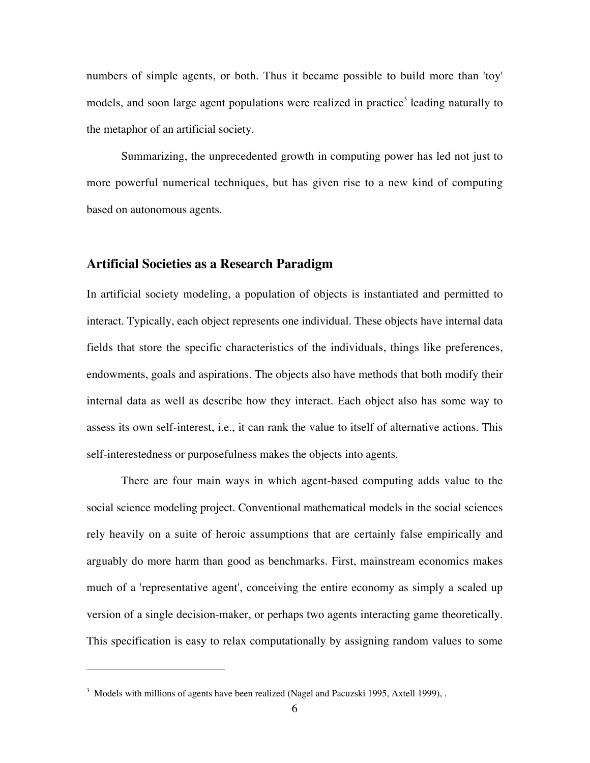numbers of simple agents, or both. Thus it became possible to build more than 'toy' models, and soon large agent populations were realized in practice<sup>3</sup> leading naturally to the metaphor of an artificial society.

Summarizing, the unprecedented growth in computing power has led not just to more powerful numerical techniques, but has given rise to a new kind of computing based on autonomous agents.

#### **Artificial Societies as a Research Paradigm**

In artificial society modeling, a population of objects is instantiated and permitted to interact. Typically, each object represents one individual. These objects have internal data fields that store the specific characteristics of the individuals, things like preferences, endowments, goals and aspirations. The objects also have methods that both modify their internal data as well as describe how they interact. Each object also has some way to assess its own self-interest, i.e., it can rank the value to itself of alternative actions. This self-interestedness or purposefulness makes the objects into agents.

There are four main ways in which agent-based computing adds value to the social science modeling project. Conventional mathematical models in the social sciences rely heavily on a suite of heroic assumptions that are certainly false empirically and arguably do more harm than good as benchmarks. First, mainstream economics makes much of a 'representative agent', conceiving the entire economy as simply a scaled up version of a single decision-maker, or perhaps two agents interacting game theoretically. This specification is easy to relax computationally by assigning random values to some

 $\overline{a}$ 

 $3$  Models with millions of agents have been realized (Nagel and Pacuzski 1995, Axtell 1999), .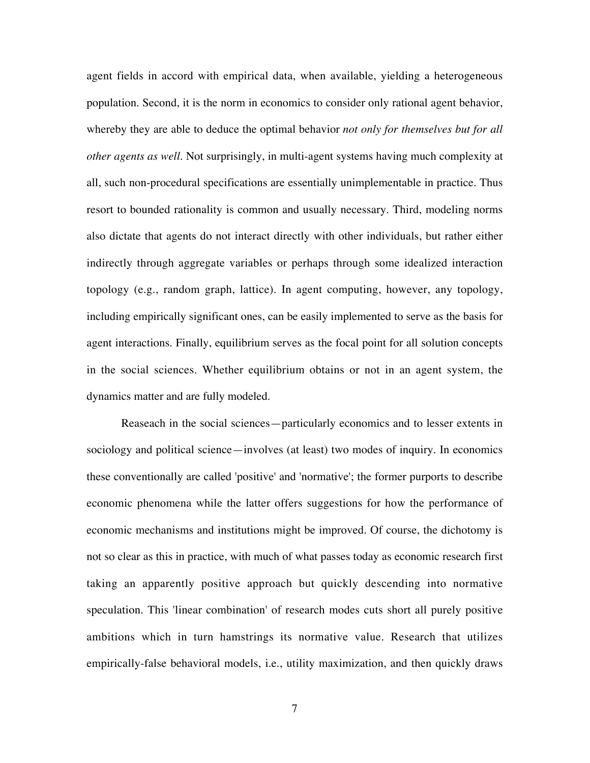agent fields in accord with empirical data, when available, yielding a heterogeneous population. Second, it is the norm in economics to consider only rational agent behavior, whereby they are able to deduce the optimal behavior *not only for themselves but for all other agents as well*. Not surprisingly, in multi-agent systems having much complexity at all, such non-procedural specifications are essentially unimplementable in practice. Thus resort to bounded rationality is common and usually necessary. Third, modeling norms also dictate that agents do not interact directly with other individuals, but rather either indirectly through aggregate variables or perhaps through some idealized interaction topology (e.g., random graph, lattice). In agent computing, however, any topology, including empirically significant ones, can be easily implemented to serve as the basis for agent interactions. Finally, equilibrium serves as the focal point for all solution concepts in the social sciences. Whether equilibrium obtains or not in an agent system, the dynamics matter and are fully modeled.

Reaseach in the social sciences—particularly economics and to lesser extents in sociology and political science—involves (at least) two modes of inquiry. In economics these conventionally are called 'positive' and 'normative'; the former purports to describe economic phenomena while the latter offers suggestions for how the performance of economic mechanisms and institutions might be improved. Of course, the dichotomy is not so clear as this in practice, with much of what passes today as economic research first taking an apparently positive approach but quickly descending into normative speculation. This 'linear combination' of research modes cuts short all purely positive ambitions which in turn hamstrings its normative value. Research that utilizes empirically-false behavioral models, i.e., utility maximization, and then quickly draws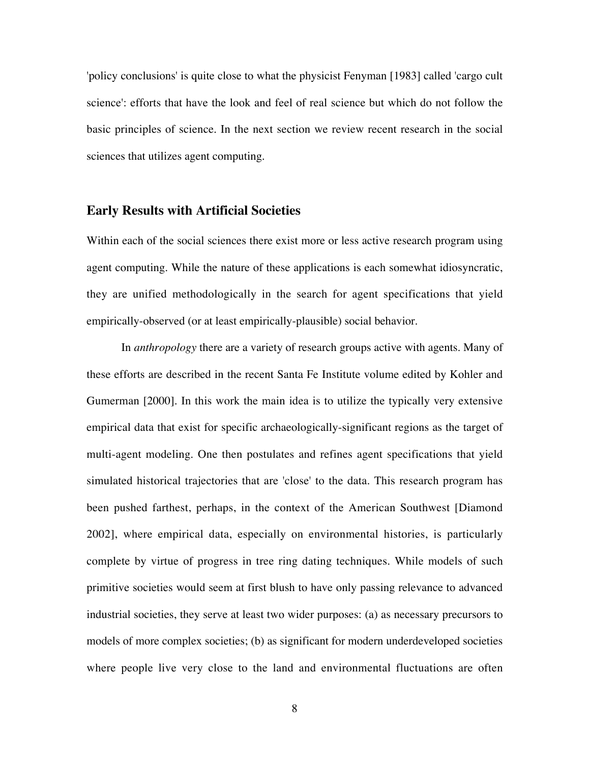'policy conclusions' is quite close to what the physicist Fenyman [1983] called 'cargo cult science': efforts that have the look and feel of real science but which do not follow the basic principles of science. In the next section we review recent research in the social sciences that utilizes agent computing.

#### **Early Results with Artificial Societies**

Within each of the social sciences there exist more or less active research program using agent computing. While the nature of these applications is each somewhat idiosyncratic, they are unified methodologically in the search for agent specifications that yield empirically-observed (or at least empirically-plausible) social behavior.

In *anthropology* there are a variety of research groups active with agents. Many of these efforts are described in the recent Santa Fe Institute volume edited by Kohler and Gumerman [2000]. In this work the main idea is to utilize the typically very extensive empirical data that exist for specific archaeologically-significant regions as the target of multi-agent modeling. One then postulates and refines agent specifications that yield simulated historical trajectories that are 'close' to the data. This research program has been pushed farthest, perhaps, in the context of the American Southwest [Diamond 2002], where empirical data, especially on environmental histories, is particularly complete by virtue of progress in tree ring dating techniques. While models of such primitive societies would seem at first blush to have only passing relevance to advanced industrial societies, they serve at least two wider purposes: (a) as necessary precursors to models of more complex societies; (b) as significant for modern underdeveloped societies where people live very close to the land and environmental fluctuations are often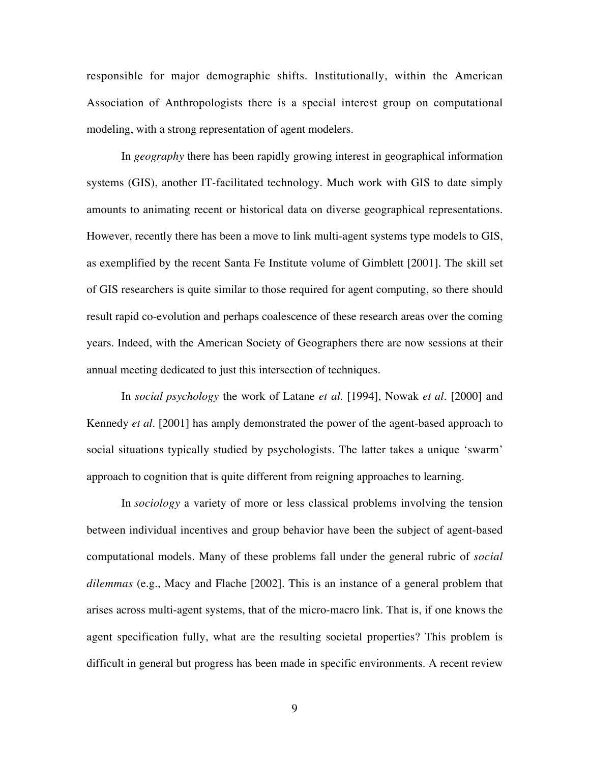responsible for major demographic shifts. Institutionally, within the American Association of Anthropologists there is a special interest group on computational modeling, with a strong representation of agent modelers.

In *geography* there has been rapidly growing interest in geographical information systems (GIS), another IT-facilitated technology. Much work with GIS to date simply amounts to animating recent or historical data on diverse geographical representations. However, recently there has been a move to link multi-agent systems type models to GIS, as exemplified by the recent Santa Fe Institute volume of Gimblett [2001]. The skill set of GIS researchers is quite similar to those required for agent computing, so there should result rapid co-evolution and perhaps coalescence of these research areas over the coming years. Indeed, with the American Society of Geographers there are now sessions at their annual meeting dedicated to just this intersection of techniques.

In *social psychology* the work of Latane *et al*. [1994], Nowak *et al*. [2000] and Kennedy *et al*. [2001] has amply demonstrated the power of the agent-based approach to social situations typically studied by psychologists. The latter takes a unique 'swarm' approach to cognition that is quite different from reigning approaches to learning.

In *sociology* a variety of more or less classical problems involving the tension between individual incentives and group behavior have been the subject of agent-based computational models. Many of these problems fall under the general rubric of *social dilemmas* (e.g., Macy and Flache [2002]. This is an instance of a general problem that arises across multi-agent systems, that of the micro-macro link. That is, if one knows the agent specification fully, what are the resulting societal properties? This problem is difficult in general but progress has been made in specific environments. A recent review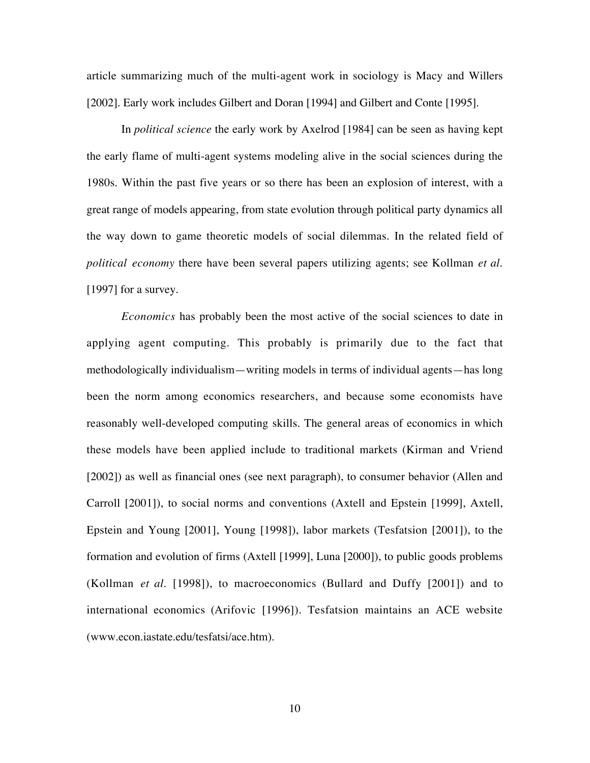article summarizing much of the multi-agent work in sociology is Macy and Willers [2002]. Early work includes Gilbert and Doran [1994] and Gilbert and Conte [1995].

In *political science* the early work by Axelrod [1984] can be seen as having kept the early flame of multi-agent systems modeling alive in the social sciences during the 1980s. Within the past five years or so there has been an explosion of interest, with a great range of models appearing, from state evolution through political party dynamics all the way down to game theoretic models of social dilemmas. In the related field of *political economy* there have been several papers utilizing agents; see Kollman *et al*. [1997] for a survey.

*Economics* has probably been the most active of the social sciences to date in applying agent computing. This probably is primarily due to the fact that methodologically individualism—writing models in terms of individual agents—has long been the norm among economics researchers, and because some economists have reasonably well-developed computing skills. The general areas of economics in which these models have been applied include to traditional markets (Kirman and Vriend [2002]) as well as financial ones (see next paragraph), to consumer behavior (Allen and Carroll [2001]), to social norms and conventions (Axtell and Epstein [1999], Axtell, Epstein and Young [2001], Young [1998]), labor markets (Tesfatsion [2001]), to the formation and evolution of firms (Axtell [1999], Luna [2000]), to public goods problems (Kollman *et al*. [1998]), to macroeconomics (Bullard and Duffy [2001]) and to international economics (Arifovic [1996]). Tesfatsion maintains an ACE website (www.econ.iastate.edu/tesfatsi/ace.htm).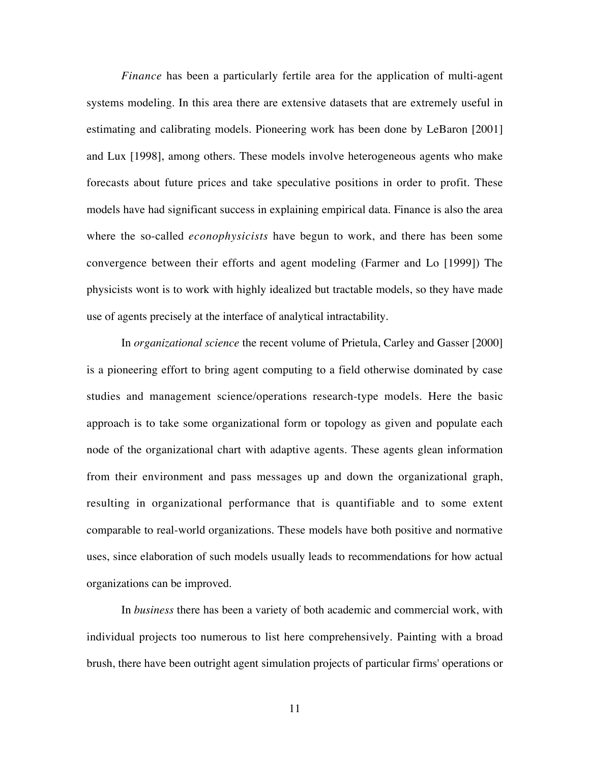*Finance* has been a particularly fertile area for the application of multi-agent systems modeling. In this area there are extensive datasets that are extremely useful in estimating and calibrating models. Pioneering work has been done by LeBaron [2001] and Lux [1998], among others. These models involve heterogeneous agents who make forecasts about future prices and take speculative positions in order to profit. These models have had significant success in explaining empirical data. Finance is also the area where the so-called *econophysicists* have begun to work, and there has been some convergence between their efforts and agent modeling (Farmer and Lo [1999]) The physicists wont is to work with highly idealized but tractable models, so they have made use of agents precisely at the interface of analytical intractability.

In *organizational science* the recent volume of Prietula, Carley and Gasser [2000] is a pioneering effort to bring agent computing to a field otherwise dominated by case studies and management science/operations research-type models. Here the basic approach is to take some organizational form or topology as given and populate each node of the organizational chart with adaptive agents. These agents glean information from their environment and pass messages up and down the organizational graph, resulting in organizational performance that is quantifiable and to some extent comparable to real-world organizations. These models have both positive and normative uses, since elaboration of such models usually leads to recommendations for how actual organizations can be improved.

In *business* there has been a variety of both academic and commercial work, with individual projects too numerous to list here comprehensively. Painting with a broad brush, there have been outright agent simulation projects of particular firms' operations or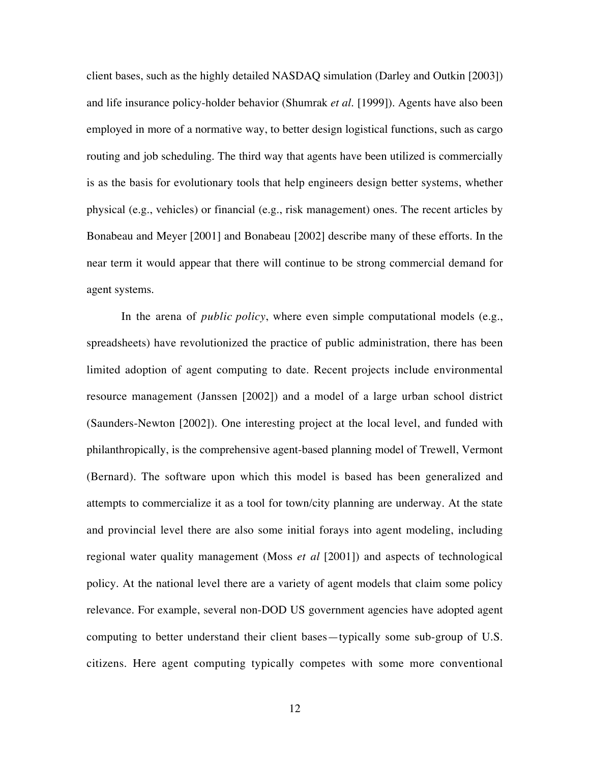client bases, such as the highly detailed NASDAQ simulation (Darley and Outkin [2003]) and life insurance policy-holder behavior (Shumrak *et al.* [1999]). Agents have also been employed in more of a normative way, to better design logistical functions, such as cargo routing and job scheduling. The third way that agents have been utilized is commercially is as the basis for evolutionary tools that help engineers design better systems, whether physical (e.g., vehicles) or financial (e.g., risk management) ones. The recent articles by Bonabeau and Meyer [2001] and Bonabeau [2002] describe many of these efforts. In the near term it would appear that there will continue to be strong commercial demand for agent systems.

In the arena of *public policy*, where even simple computational models (e.g., spreadsheets) have revolutionized the practice of public administration, there has been limited adoption of agent computing to date. Recent projects include environmental resource management (Janssen [2002]) and a model of a large urban school district (Saunders-Newton [2002]). One interesting project at the local level, and funded with philanthropically, is the comprehensive agent-based planning model of Trewell, Vermont (Bernard). The software upon which this model is based has been generalized and attempts to commercialize it as a tool for town/city planning are underway. At the state and provincial level there are also some initial forays into agent modeling, including regional water quality management (Moss *et al* [2001]) and aspects of technological policy. At the national level there are a variety of agent models that claim some policy relevance. For example, several non-DOD US government agencies have adopted agent computing to better understand their client bases—typically some sub-group of U.S. citizens. Here agent computing typically competes with some more conventional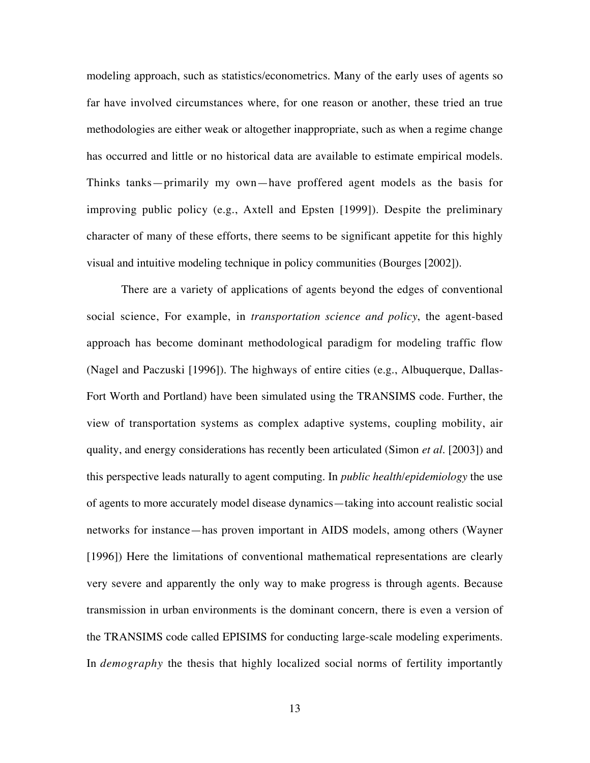modeling approach, such as statistics/econometrics. Many of the early uses of agents so far have involved circumstances where, for one reason or another, these tried an true methodologies are either weak or altogether inappropriate, such as when a regime change has occurred and little or no historical data are available to estimate empirical models. Thinks tanks—primarily my own—have proffered agent models as the basis for improving public policy (e.g., Axtell and Epsten [1999]). Despite the preliminary character of many of these efforts, there seems to be significant appetite for this highly visual and intuitive modeling technique in policy communities (Bourges [2002]).

There are a variety of applications of agents beyond the edges of conventional social science, For example, in *transportation science and policy*, the agent-based approach has become dominant methodological paradigm for modeling traffic flow (Nagel and Paczuski [1996]). The highways of entire cities (e.g., Albuquerque, Dallas-Fort Worth and Portland) have been simulated using the TRANSIMS code. Further, the view of transportation systems as complex adaptive systems, coupling mobility, air quality, and energy considerations has recently been articulated (Simon *et al.* [2003]) and this perspective leads naturally to agent computing. In *public health*/*epidemiology* the use of agents to more accurately model disease dynamics—taking into account realistic social networks for instance—has proven important in AIDS models, among others (Wayner [1996]) Here the limitations of conventional mathematical representations are clearly very severe and apparently the only way to make progress is through agents. Because transmission in urban environments is the dominant concern, there is even a version of the TRANSIMS code called EPISIMS for conducting large-scale modeling experiments. In *demography* the thesis that highly localized social norms of fertility importantly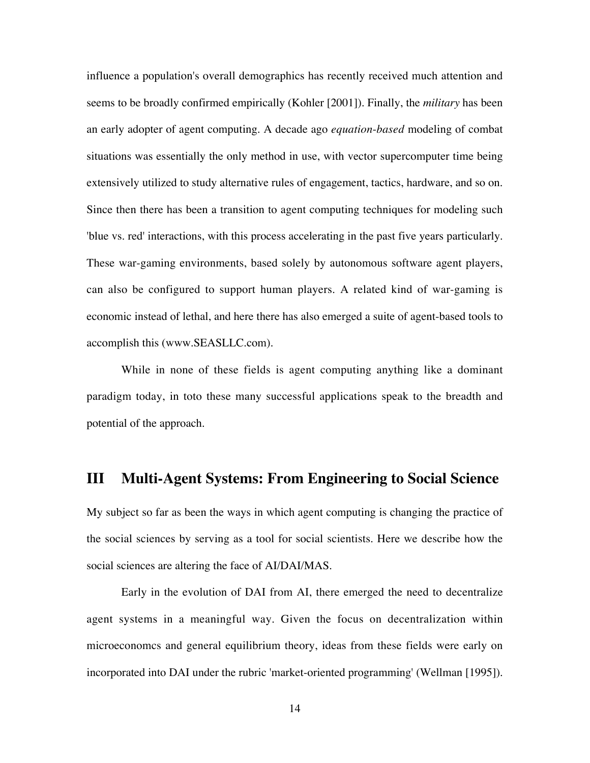influence a population's overall demographics has recently received much attention and seems to be broadly confirmed empirically (Kohler [2001]). Finally, the *military* has been an early adopter of agent computing. A decade ago *equation*-*based* modeling of combat situations was essentially the only method in use, with vector supercomputer time being extensively utilized to study alternative rules of engagement, tactics, hardware, and so on. Since then there has been a transition to agent computing techniques for modeling such 'blue vs. red' interactions, with this process accelerating in the past five years particularly. These war-gaming environments, based solely by autonomous software agent players, can also be configured to support human players. A related kind of war-gaming is economic instead of lethal, and here there has also emerged a suite of agent-based tools to accomplish this (www.SEASLLC.com).

While in none of these fields is agent computing anything like a dominant paradigm today, in toto these many successful applications speak to the breadth and potential of the approach.

# **III Multi-Agent Systems: From Engineering to Social Science**

My subject so far as been the ways in which agent computing is changing the practice of the social sciences by serving as a tool for social scientists. Here we describe how the social sciences are altering the face of AI/DAI/MAS.

Early in the evolution of DAI from AI, there emerged the need to decentralize agent systems in a meaningful way. Given the focus on decentralization within microeconomcs and general equilibrium theory, ideas from these fields were early on incorporated into DAI under the rubric 'market-oriented programming' (Wellman [1995]).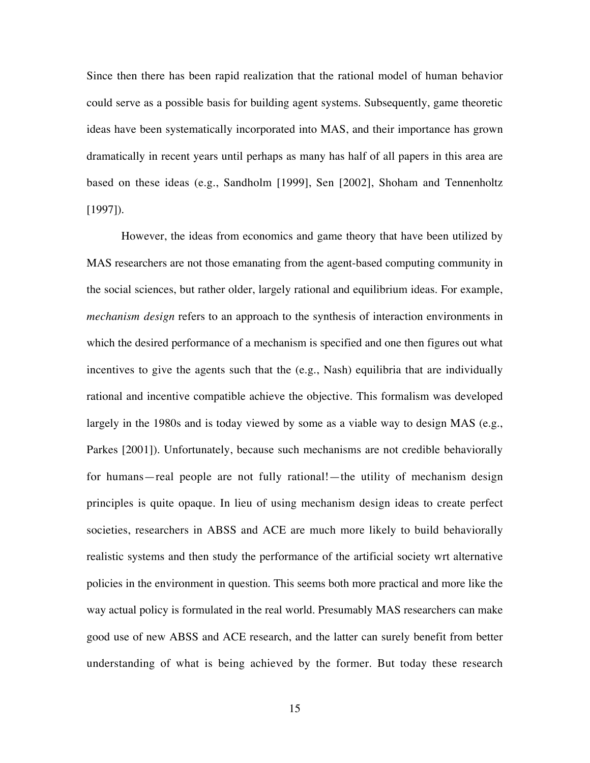Since then there has been rapid realization that the rational model of human behavior could serve as a possible basis for building agent systems. Subsequently, game theoretic ideas have been systematically incorporated into MAS, and their importance has grown dramatically in recent years until perhaps as many has half of all papers in this area are based on these ideas (e.g., Sandholm [1999], Sen [2002], Shoham and Tennenholtz [1997]).

However, the ideas from economics and game theory that have been utilized by MAS researchers are not those emanating from the agent-based computing community in the social sciences, but rather older, largely rational and equilibrium ideas. For example, *mechanism design* refers to an approach to the synthesis of interaction environments in which the desired performance of a mechanism is specified and one then figures out what incentives to give the agents such that the (e.g., Nash) equilibria that are individually rational and incentive compatible achieve the objective. This formalism was developed largely in the 1980s and is today viewed by some as a viable way to design MAS (e.g., Parkes [2001]). Unfortunately, because such mechanisms are not credible behaviorally for humans—real people are not fully rational!—the utility of mechanism design principles is quite opaque. In lieu of using mechanism design ideas to create perfect societies, researchers in ABSS and ACE are much more likely to build behaviorally realistic systems and then study the performance of the artificial society wrt alternative policies in the environment in question. This seems both more practical and more like the way actual policy is formulated in the real world. Presumably MAS researchers can make good use of new ABSS and ACE research, and the latter can surely benefit from better understanding of what is being achieved by the former. But today these research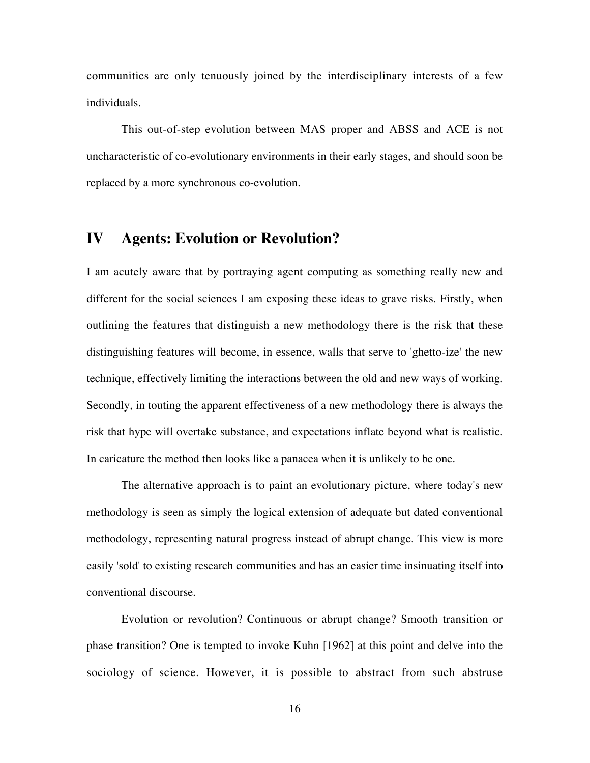communities are only tenuously joined by the interdisciplinary interests of a few individuals.

This out-of-step evolution between MAS proper and ABSS and ACE is not uncharacteristic of co-evolutionary environments in their early stages, and should soon be replaced by a more synchronous co-evolution.

# **IV Agents: Evolution or Revolution?**

I am acutely aware that by portraying agent computing as something really new and different for the social sciences I am exposing these ideas to grave risks. Firstly, when outlining the features that distinguish a new methodology there is the risk that these distinguishing features will become, in essence, walls that serve to 'ghetto-ize' the new technique, effectively limiting the interactions between the old and new ways of working. Secondly, in touting the apparent effectiveness of a new methodology there is always the risk that hype will overtake substance, and expectations inflate beyond what is realistic. In caricature the method then looks like a panacea when it is unlikely to be one.

The alternative approach is to paint an evolutionary picture, where today's new methodology is seen as simply the logical extension of adequate but dated conventional methodology, representing natural progress instead of abrupt change. This view is more easily 'sold' to existing research communities and has an easier time insinuating itself into conventional discourse.

Evolution or revolution? Continuous or abrupt change? Smooth transition or phase transition? One is tempted to invoke Kuhn [1962] at this point and delve into the sociology of science. However, it is possible to abstract from such abstruse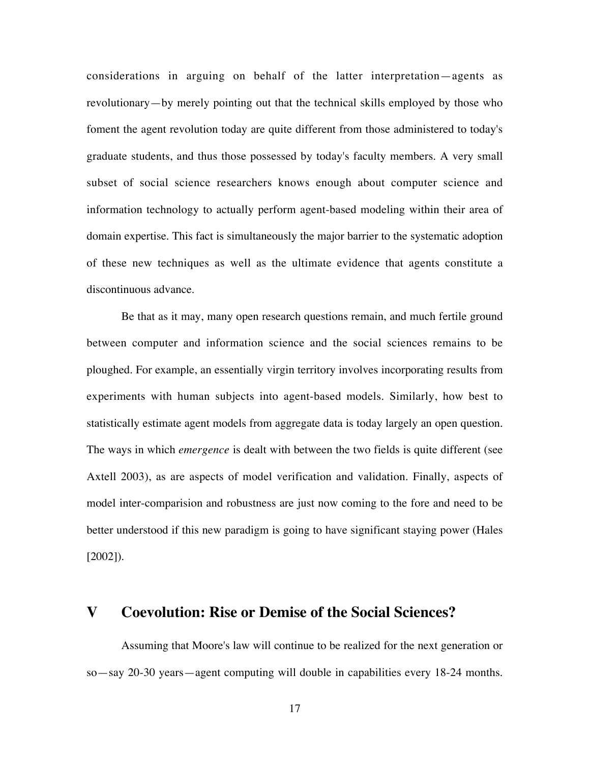considerations in arguing on behalf of the latter interpretation—agents as revolutionary—by merely pointing out that the technical skills employed by those who foment the agent revolution today are quite different from those administered to today's graduate students, and thus those possessed by today's faculty members. A very small subset of social science researchers knows enough about computer science and information technology to actually perform agent-based modeling within their area of domain expertise. This fact is simultaneously the major barrier to the systematic adoption of these new techniques as well as the ultimate evidence that agents constitute a discontinuous advance.

Be that as it may, many open research questions remain, and much fertile ground between computer and information science and the social sciences remains to be ploughed. For example, an essentially virgin territory involves incorporating results from experiments with human subjects into agent-based models. Similarly, how best to statistically estimate agent models from aggregate data is today largely an open question. The ways in which *emergence* is dealt with between the two fields is quite different (see Axtell 2003), as are aspects of model verification and validation. Finally, aspects of model inter-comparision and robustness are just now coming to the fore and need to be better understood if this new paradigm is going to have significant staying power (Hales [2002]).

# **V Coevolution: Rise or Demise of the Social Sciences?**

Assuming that Moore's law will continue to be realized for the next generation or so—say 20-30 years—agent computing will double in capabilities every 18-24 months.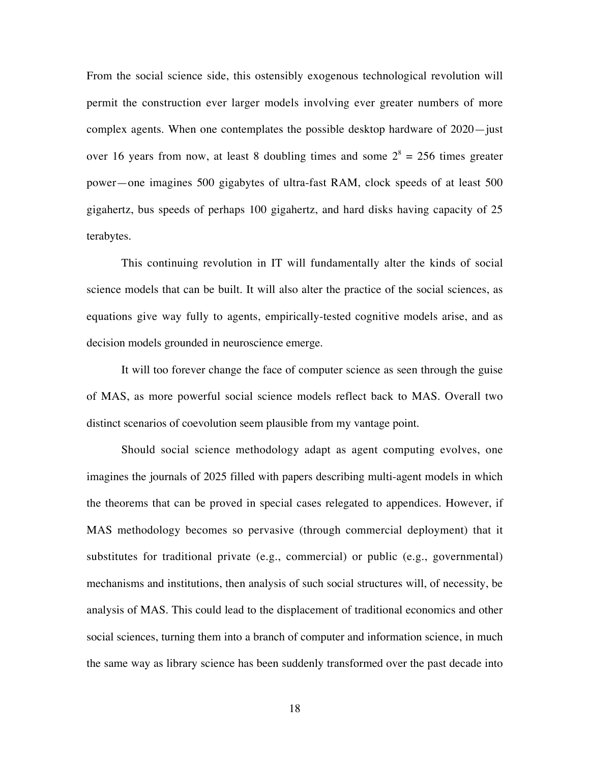From the social science side, this ostensibly exogenous technological revolution will permit the construction ever larger models involving ever greater numbers of more complex agents. When one contemplates the possible desktop hardware of 2020—just over 16 years from now, at least 8 doubling times and some  $2^8 = 256$  times greater power—one imagines 500 gigabytes of ultra-fast RAM, clock speeds of at least 500 gigahertz, bus speeds of perhaps 100 gigahertz, and hard disks having capacity of 25 terabytes.

This continuing revolution in IT will fundamentally alter the kinds of social science models that can be built. It will also alter the practice of the social sciences, as equations give way fully to agents, empirically-tested cognitive models arise, and as decision models grounded in neuroscience emerge.

It will too forever change the face of computer science as seen through the guise of MAS, as more powerful social science models reflect back to MAS. Overall two distinct scenarios of coevolution seem plausible from my vantage point.

Should social science methodology adapt as agent computing evolves, one imagines the journals of 2025 filled with papers describing multi-agent models in which the theorems that can be proved in special cases relegated to appendices. However, if MAS methodology becomes so pervasive (through commercial deployment) that it substitutes for traditional private (e.g., commercial) or public (e.g., governmental) mechanisms and institutions, then analysis of such social structures will, of necessity, be analysis of MAS. This could lead to the displacement of traditional economics and other social sciences, turning them into a branch of computer and information science, in much the same way as library science has been suddenly transformed over the past decade into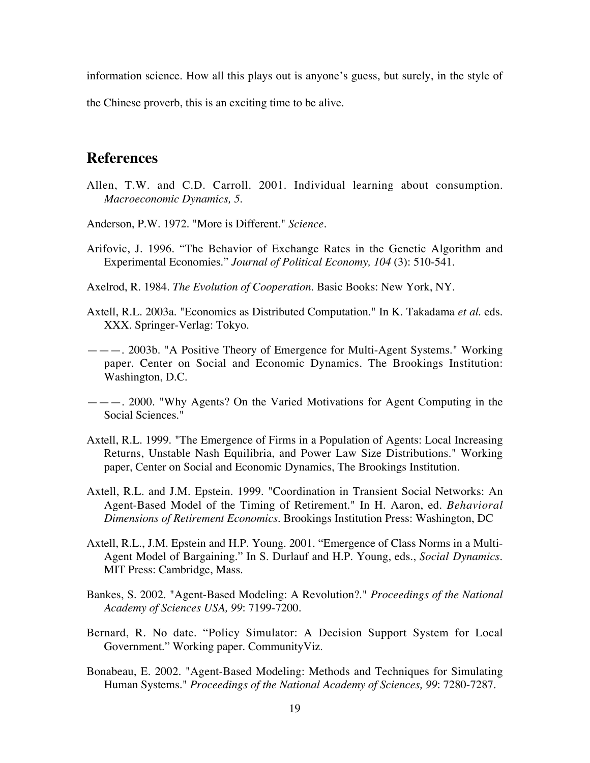information science. How all this plays out is anyone's guess, but surely, in the style of

the Chinese proverb, this is an exciting time to be alive.

# **References**

- Allen, T.W. and C.D. Carroll. 2001. Individual learning about consumption. *Macroeconomic Dynamics, 5*.
- Anderson, P.W. 1972. "More is Different." *Science*.
- Arifovic, J. 1996. "The Behavior of Exchange Rates in the Genetic Algorithm and Experimental Economies." *Journal of Political Economy, 104* (3): 510-541.
- Axelrod, R. 1984. *The Evolution of Cooperation*. Basic Books: New York, NY.
- Axtell, R.L. 2003a. "Economics as Distributed Computation." In K. Takadama *et al*. eds. XXX. Springer-Verlag: Tokyo.
- ———. 2003b. "A Positive Theory of Emergence for Multi-Agent Systems." Working paper. Center on Social and Economic Dynamics. The Brookings Institution: Washington, D.C.
- ———. 2000. "Why Agents? On the Varied Motivations for Agent Computing in the Social Sciences."
- Axtell, R.L. 1999. "The Emergence of Firms in a Population of Agents: Local Increasing Returns, Unstable Nash Equilibria, and Power Law Size Distributions." Working paper, Center on Social and Economic Dynamics, The Brookings Institution.
- Axtell, R.L. and J.M. Epstein. 1999. "Coordination in Transient Social Networks: An Agent-Based Model of the Timing of Retirement." In H. Aaron, ed. *Behavioral Dimensions of Retirement Economics*. Brookings Institution Press: Washington, DC
- Axtell, R.L., J.M. Epstein and H.P. Young. 2001. "Emergence of Class Norms in a Multi-Agent Model of Bargaining." In S. Durlauf and H.P. Young, eds., *Social Dynamics*. MIT Press: Cambridge, Mass.
- Bankes, S. 2002. "Agent-Based Modeling: A Revolution?." *Proceedings of the National Academy of Sciences USA, 99*: 7199-7200.
- Bernard, R. No date. "Policy Simulator: A Decision Support System for Local Government." Working paper. CommunityViz.
- Bonabeau, E. 2002. "Agent-Based Modeling: Methods and Techniques for Simulating Human Systems." *Proceedings of the National Academy of Sciences, 99*: 7280-7287.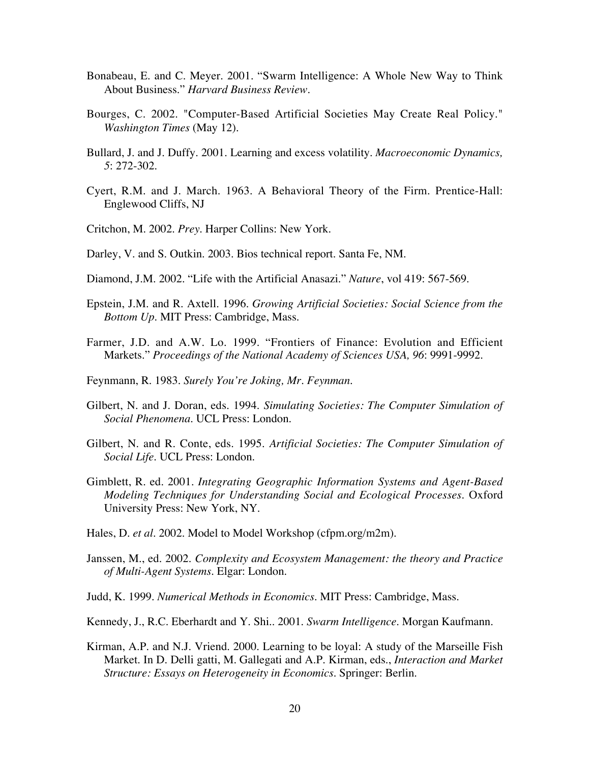- Bonabeau, E. and C. Meyer. 2001. "Swarm Intelligence: A Whole New Way to Think About Business." *Harvard Business Review*.
- Bourges, C. 2002. "Computer-Based Artificial Societies May Create Real Policy." *Washington Times* (May 12).
- Bullard, J. and J. Duffy. 2001. Learning and excess volatility. *Macroeconomic Dynamics, 5*: 272-302.
- Cyert, R.M. and J. March. 1963. A Behavioral Theory of the Firm. Prentice-Hall: Englewood Cliffs, NJ
- Critchon, M. 2002. *Prey*. Harper Collins: New York.
- Darley, V. and S. Outkin. 2003. Bios technical report. Santa Fe, NM.
- Diamond, J.M. 2002. "Life with the Artificial Anasazi." *Nature*, vol 419: 567-569.
- Epstein, J.M. and R. Axtell. 1996. *Growing Artificial Societies: Social Science from the Bottom Up*. MIT Press: Cambridge, Mass.
- Farmer, J.D. and A.W. Lo. 1999. "Frontiers of Finance: Evolution and Efficient Markets." *Proceedings of the National Academy of Sciences USA, 96*: 9991-9992.
- Feynmann, R. 1983. *Surely You're Joking, Mr. Feynman.*
- Gilbert, N. and J. Doran, eds. 1994. *Simulating Societies: The Computer Simulation of Social Phenomena*. UCL Press: London.
- Gilbert, N. and R. Conte, eds. 1995. *Artificial Societies: The Computer Simulation of Social Life*. UCL Press: London.
- Gimblett, R. ed. 2001. *Integrating Geographic Information Systems and Agent-Based Modeling Techniques for Understanding Social and Ecological Processes*. Oxford University Press: New York, NY.
- Hales, D. *et al*. 2002. Model to Model Workshop (cfpm.org/m2m).
- Janssen, M., ed. 2002. *Complexity and Ecosystem Management: the theory and Practice of Multi-Agent Systems*. Elgar: London.
- Judd, K. 1999. *Numerical Methods in Economics*. MIT Press: Cambridge, Mass.
- Kennedy, J., R.C. Eberhardt and Y. Shi.. 2001. *Swarm Intelligence*. Morgan Kaufmann.
- Kirman, A.P. and N.J. Vriend. 2000. Learning to be loyal: A study of the Marseille Fish Market. In D. Delli gatti, M. Gallegati and A.P. Kirman, eds., *Interaction and Market Structure: Essays on Heterogeneity in Economics*. Springer: Berlin.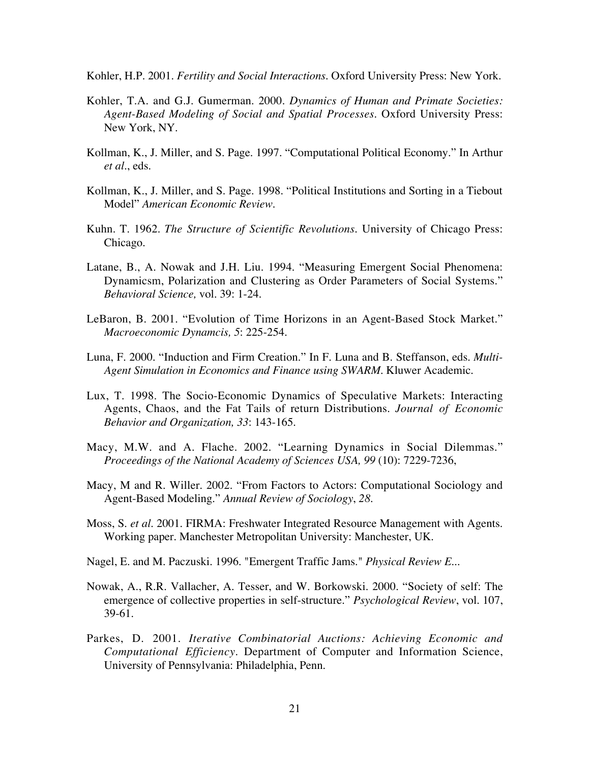Kohler, H.P. 2001. *Fertility and Social Interactions*. Oxford University Press: New York.

- Kohler, T.A. and G.J. Gumerman. 2000. *Dynamics of Human and Primate Societies: Agent-Based Modeling of Social and Spatial Processes*. Oxford University Press: New York, NY.
- Kollman, K., J. Miller, and S. Page. 1997. "Computational Political Economy." In Arthur *et al*., eds.
- Kollman, K., J. Miller, and S. Page. 1998. "Political Institutions and Sorting in a Tiebout Model" *American Economic Review*.
- Kuhn. T. 1962. *The Structure of Scientific Revolutions*. University of Chicago Press: Chicago.
- Latane, B., A. Nowak and J.H. Liu. 1994. "Measuring Emergent Social Phenomena: Dynamicsm, Polarization and Clustering as Order Parameters of Social Systems." *Behavioral Science,* vol. 39: 1-24.
- LeBaron, B. 2001. "Evolution of Time Horizons in an Agent-Based Stock Market." *Macroeconomic Dynamcis, 5*: 225-254.
- Luna, F. 2000. "Induction and Firm Creation." In F. Luna and B. Steffanson, eds. *Multi-Agent Simulation in Economics and Finance using SWARM*. Kluwer Academic.
- Lux, T. 1998. The Socio-Economic Dynamics of Speculative Markets: Interacting Agents, Chaos, and the Fat Tails of return Distributions. *Journal of Economic Behavior and Organization, 33*: 143-165.
- Macy, M.W. and A. Flache. 2002. "Learning Dynamics in Social Dilemmas." *Proceedings of the National Academy of Sciences USA, 99* (10): 7229-7236,
- Macy, M and R. Willer. 2002. "From Factors to Actors: Computational Sociology and Agent-Based Modeling." *Annual Review of Sociology*, *28*.
- Moss, S. *et al*. 2001. FIRMA: Freshwater Integrated Resource Management with Agents. Working paper. Manchester Metropolitan University: Manchester, UK.
- Nagel, E. and M. Paczuski. 1996. "Emergent Traffic Jams." *Physical Review E*...
- Nowak, A., R.R. Vallacher, A. Tesser, and W. Borkowski. 2000. "Society of self: The emergence of collective properties in self-structure." *Psychological Review*, vol. 107, 39-61.
- Parkes, D. 2001. *Iterative Combinatorial Auctions: Achieving Economic and Computational Efficiency*. Department of Computer and Information Science, University of Pennsylvania: Philadelphia, Penn.